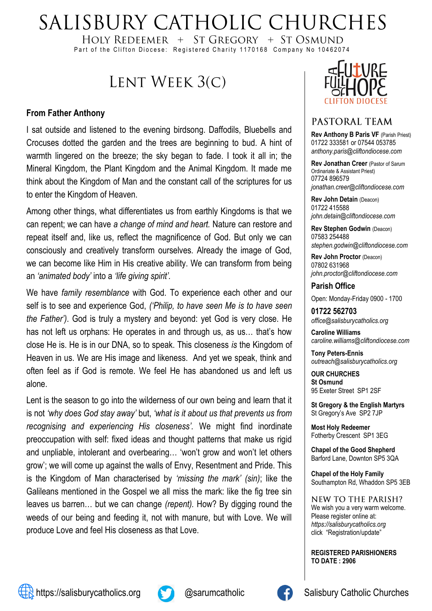# SALISBURY CATHOLIC CHURCHES

HOLY REDEEMER  $+$  ST GREGORY  $+$  ST OSMUND Part of the Clifton Diocese: Registered Charity 1170168 Company No 10462074

## LENT WEEK 3(C)

#### **From Father Anthony**

I sat outside and listened to the evening birdsong. Daffodils, Bluebells and Crocuses dotted the garden and the trees are beginning to bud. A hint of warmth lingered on the breeze; the sky began to fade. I took it all in; the Mineral Kingdom, the Plant Kingdom and the Animal Kingdom. It made me think about the Kingdom of Man and the constant call of the scriptures for us to enter the Kingdom of Heaven.

Among other things, what differentiates us from earthly Kingdoms is that we can repent; we can have *a change of mind and heart.* Nature can restore and repeat itself and, like us, reflect the magnificence of God. But only we can consciously and creatively transform ourselves. Already the image of God, we can become like Him in His creative ability. We can transform from being an *'animated body'* into a *'life giving spirit'.*

We have *family resemblance* with God. To experience each other and our self is to see and experience God, *('Philip, to have seen Me is to have seen the Father')*. God is truly a mystery and beyond: yet God is very close. He has not left us orphans: He operates in and through us, as us… that's how close He is. He is in our DNA, so to speak. This closeness *is* the Kingdom of Heaven in us. We are His image and likeness. And yet we speak, think and often feel as if God is remote. We feel He has abandoned us and left us alone.

Lent is the season to go into the wilderness of our own being and learn that it is not *'why does God stay away'* but, *'what is it about us that prevents us from recognising and experiencing His closeness'.* We might find inordinate preoccupation with self: fixed ideas and thought patterns that make us rigid and unpliable, intolerant and overbearing… 'won't grow and won't let others grow'; we will come up against the walls of Envy, Resentment and Pride. This is the Kingdom of Man characterised by *'missing the mark' (sin)*; like the Galileans mentioned in the Gospel we all miss the mark: like the fig tree sin leaves us barren… but we can change *(repent).* How? By digging round the weeds of our being and feeding it, not with manure, but with Love. We will produce Love and feel His closeness as that Love.



#### PASTORAL TEAM

**Rev Anthony B Paris VF (Parish Priest)** 01722 333581 or 07544 053785 *anthony.paris@cliftondiocese.com*

**Rev Jonathan Creer** (Pastor of Sarum Ordinariate & Assistant Priest) 07724 896579 *jonathan.creer@cliftondiocese.com*

**Rev John Detain** (Deacon) 01722 415588 *john.detain@cliftondiocese.com*

**Rev Stephen Godwin** (Deacon) 07583 254488 *stephen.godwin@cliftondiocese.com*

**Rev John Proctor** (Deacon) 07802 631968 *john.proctor@cliftondiocese.com*

**Parish Office** 

Open: Monday-Friday 0900 - 1700

**01722 562703** *office@salisburycatholics.org*

**Caroline Williams** *caroline.williams@cliftondiocese.com*

**Tony Peters-Ennis** *outreach@salisburycatholics.org*

**OUR CHURCHES St Osmund** 95 Exeter Street SP1 2SF

**St Gregory & the English Martyrs** St Gregory's Ave SP2 7JP

**Most Holy Redeemer**  Fotherby Crescent SP1 3EG

**Chapel of the Good Shepherd** Barford Lane, Downton SP5 3QA

**Chapel of the Holy Family** Southampton Rd, Whaddon SP5 3EB

NEW TO THE PARISH? We wish you a very warm welcome. Please register online at: *[https://salisburycatholics.org](https://p1.pamis.co.uk/salisbury/onlined01cab)*  [click "Registration/update"](https://p1.pamis.co.uk/salisbury/onlined01cab) 

**REGISTERED PARISHIONERS TO DATE : 2906**





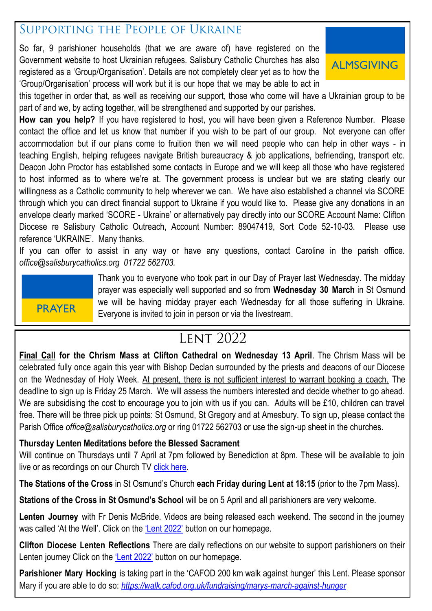### SUPPORTING THE PEOPLE OF UKRAINE

So far, 9 parishioner households (that we are aware of) have registered on the Government website to host Ukrainian refugees. Salisbury Catholic Churches has also registered as a 'Group/Organisation'. Details are not completely clear yet as to how the 'Group/Organisation' process will work but it is our hope that we may be able to act in



this together in order that, as well as receiving our support, those who come will have a Ukrainian group to be part of and we, by acting together, will be strengthened and supported by our parishes.

**How can you help?** If you have registered to host, you will have been given a Reference Number. Please contact the office and let us know that number if you wish to be part of our group. Not everyone can offer accommodation but if our plans come to fruition then we will need people who can help in other ways - in teaching English, helping refugees navigate British bureaucracy & job applications, befriending, transport etc. Deacon John Proctor has established some contacts in Europe and we will keep all those who have registered to host informed as to where we're at. The government process is unclear but we are stating clearly our willingness as a Catholic community to help wherever we can. We have also established a channel via SCORE through which you can direct financial support to Ukraine if you would like to. Please give any donations in an envelope clearly marked 'SCORE - Ukraine' or alternatively pay directly into our SCORE Account Name: Clifton Diocese re Salisbury Catholic Outreach, Account Number: 89047419, Sort Code 52-10-03. Please use reference 'UKRAINE'. Many thanks.

If you can offer to assist in any way or have any questions, contact Caroline in the parish office. *office@salisburycatholics.org 01722 562703.*

## PRAYER

Thank you to everyone who took part in our Day of Prayer last Wednesday. The midday prayer was especially well supported and so from **Wednesday 30 March** in St Osmund we will be having midday prayer each Wednesday for all those suffering in Ukraine. Everyone is invited to join in person or via the livestream.

### **LENT 2022**

**Final Call for the Chrism Mass at Clifton Cathedral on Wednesday 13 April**. The Chrism Mass will be celebrated fully once again this year with Bishop Declan surrounded by the priests and deacons of our Diocese on the Wednesday of Holy Week. At present, there is not sufficient interest to warrant booking a coach. The deadline to sign up is Friday 25 March. We will assess the numbers interested and decide whether to go ahead. We are subsidising the cost to encourage you to join with us if you can. Adults will be £10, children can travel free. There will be three pick up points: St Osmund, St Gregory and at Amesbury. To sign up, please contact the Parish Office *office@salisburycatholics.org* or ring 01722 562703 or use the sign-up sheet in the churches.

#### **Thursday Lenten Meditations before the Blessed Sacrament**

Will continue on Thursdays until 7 April at 7pm followed by Benediction at 8pm. These will be available to join live or as recordings on our Church TV [click here.](https://salisburycatholics.org/st-osmunds)

**The Stations of the Cross** in St Osmund's Church **each Friday during Lent at 18:15** (prior to the 7pm Mass).

**Stations of the Cross in St Osmund's School** will be on 5 April and all parishioners are very welcome.

**Lenten Journey** with Fr Denis McBride. Videos are being released each weekend. The second in the journey was called 'At the Well'. Click on the ['Lent 2022'](https://salisburycatholics.org/lent-2022) button on our homepage.

**Clifton Diocese Lenten Reflections** There are daily reflections on our website to support parishioners on their Lenten journey Click on the ['Lent 2022'](https://salisburycatholics.org/lent-2022) button on our homepage.

**Parishioner Mary Hocking** is taking part in the 'CAFOD 200 km walk against hunger' this Lent. Please sponsor Mary if you are able to do so: *<https://walk.cafod.org.uk/fundraising/marys-march-against-hunger>*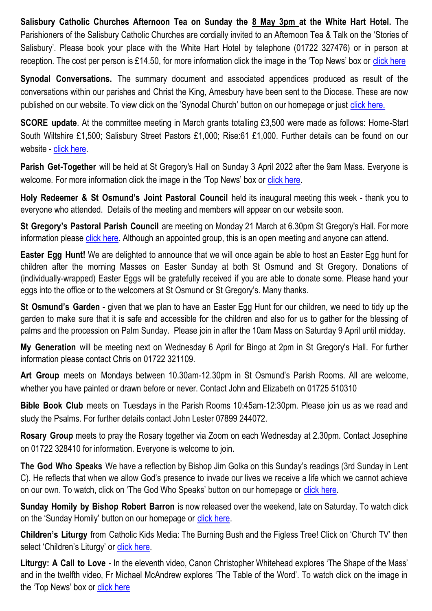**Salisbury Catholic Churches Afternoon Tea on Sunday the 8 May 3pm at the White Hart Hotel.** The Parishioners of the Salisbury Catholic Churches are cordially invited to an Afternoon Tea & Talk on the 'Stories of Salisbury'. Please book your place with the White Hart Hotel by telephone (01722 327476) or in person at reception. The cost per person is £14.50, for more information click the image in the 'Top News' box or [click here](https://salisburycatholics.org/blog/salisbury-catholic-churches-afternoon-tea)

**Synodal Conversations.** The summary document and associated appendices produced as result of the conversations within our parishes and Christ the King, Amesbury have been sent to the Diocese. These are now published on our website. To view click on the 'Synodal Church' button on our homepage or just [click here.](https://salisburycatholics.org/synodal-church)

**SCORE update**. At the committee meeting in March grants totalling £3,500 were made as follows: Home-Start South Wiltshire £1,500; Salisbury Street Pastors £1,000; Rise:61 £1,000. Further details can be found on our website - [click here.](https://salisburycatholics.org/score)

**Parish Get-Together** will be held at St Gregory's Hall on Sunday 3 April 2022 after the 9am Mass. Everyone is welcome. For more information click the image in the 'Top News' box or [click here.](https://salisburycatholics.org/blog/parish-get-together)

**Holy Redeemer & St Osmund's Joint Pastoral Council** held its inaugural meeting this week - thank you to everyone who attended. Details of the meeting and members will appear on our website soon.

**St Gregory's Pastoral Parish Council** are meeting on Monday 21 March at 6.30pm St Gregory's Hall. For more information please [click here.](https://salisburycatholics.org/ppc) Although an appointed group, this is an open meeting and anyone can attend.

**Easter Egg Hunt!** We are delighted to announce that we will once again be able to host an Easter Egg hunt for children after the morning Masses on Easter Sunday at both St Osmund and St Gregory. Donations of (individually-wrapped) Easter Eggs will be gratefully received if you are able to donate some. Please hand your eggs into the office or to the welcomers at St Osmund or St Gregory's. Many thanks.

**St Osmund's Garden** - given that we plan to have an Easter Egg Hunt for our children, we need to tidy up the garden to make sure that it is safe and accessible for the children and also for us to gather for the blessing of palms and the procession on Palm Sunday. Please join in after the 10am Mass on Saturday 9 April until midday.

**My Generation** will be meeting next on Wednesday 6 April for Bingo at 2pm in St Gregory's Hall. For further information please contact Chris on 01722 321109.

**Art Group** meets on Mondays between 10.30am-12.30pm in St Osmund's Parish Rooms. All are welcome, whether you have painted or drawn before or never. Contact John and Elizabeth on 01725 510310

**Bible Book Club** meets on Tuesdays in the Parish Rooms 10:45am-12:30pm. Please join us as we read and study the Psalms. For further details contact John Lester 07899 244072.

**Rosary Group** meets to pray the Rosary together via Zoom on each Wednesday at 2.30pm. Contact Josephine on 01722 328410 for information. Everyone is welcome to join.

**The God Who Speaks** We have a reflection by Bishop Jim Golka on this Sunday's readings (3rd Sunday in Lent C). He reflects that when we allow God's presence to invade our lives we receive a life which we cannot achieve on our own. To watch, click on 'The God Who Speaks' button on our homepage or [click here.](https://salisburycatholics.org/god-who-speaks)

**Sunday Homily by Bishop Robert Barron** is now released over the weekend, late on Saturday. To watch click on the 'Sunday Homily' button on our homepage or [click here.](https://salisburycatholics.org/sunday-homily)

**Children's Liturgy** from Catholic Kids Media: The Burning Bush and the Figless Tree! Click on 'Church TV' then select 'Children's Liturgy' or click here.

**Liturgy: A Call to Love** - In the eleventh video, Canon Christopher Whitehead explores 'The Shape of the Mass' and in the twelfth video, Fr Michael McAndrew explores 'The Table of the Word'. To watch click on the image in the 'Top News' box or [click here](https://salisburycatholics.org/call-love)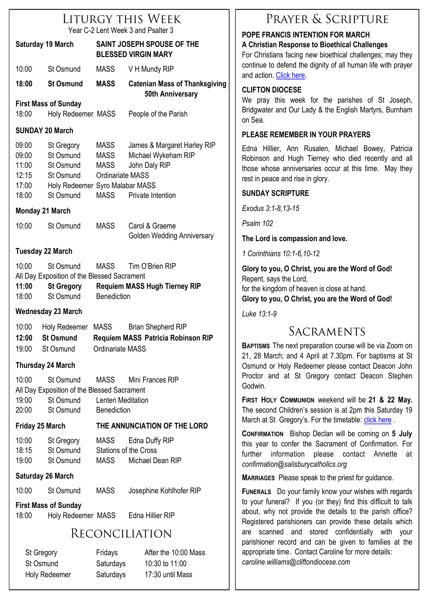|                                                    |                                                                                                   |                                                          | LITURGY THIS WEEK                                                                        |
|----------------------------------------------------|---------------------------------------------------------------------------------------------------|----------------------------------------------------------|------------------------------------------------------------------------------------------|
|                                                    |                                                                                                   |                                                          | Year C-2 Lent Week 3 and Psalter 3                                                       |
| <b>Saturday 19 March</b>                           |                                                                                                   | SAINT JOSEPH SPOUSE OF THE<br><b>BLESSED VIRGIN MARY</b> |                                                                                          |
| 10:00                                              | St Osmund                                                                                         | <b>MASS</b>                                              | V H Mundy RIP                                                                            |
| 18:00                                              | <b>St Osmund</b>                                                                                  | <b>MASS</b>                                              | <b>Catenian Mass of Thanksgiving</b><br><b>50th Anniversary</b>                          |
|                                                    | <b>First Mass of Sunday</b>                                                                       |                                                          |                                                                                          |
| 18:00                                              | Holy Redeemer MASS                                                                                |                                                          | People of the Parish                                                                     |
| <b>SUNDAY 20 March</b>                             |                                                                                                   |                                                          |                                                                                          |
| 09:00<br>09:00<br>11:00<br>12:15<br>17:00<br>18:00 | St Gregory<br>St Osmund<br>St Osmund<br>St Osmund<br>Holy Redeemer Syro Malabar MASS<br>St Osmund | MASS<br>MASS<br>MASS<br>Ordinariate MASS<br><b>MASS</b>  | James & Margaret Harley RIP<br>Michael Wykeham RIP<br>John Daly RIP<br>Private Intention |
|                                                    | <b>Monday 21 March</b>                                                                            |                                                          |                                                                                          |
| 10:00                                              | St Osmund                                                                                         | MASS                                                     | Carol & Graeme<br>Golden Wedding Anniversary                                             |
|                                                    | <b>Tuesday 22 March</b>                                                                           |                                                          |                                                                                          |
| 10:00<br>11:00                                     | St Osmund<br>All Day Exposition of the Blessed Sacrament<br><b>St Gregory</b><br>18:00 St Osmund  | MASS<br><b>Benediction</b>                               | Tim O'Brien RIP<br><b>Requiem MASS Hugh Tierney RIP</b>                                  |
|                                                    | <b>Wednesday 23 March</b>                                                                         |                                                          |                                                                                          |
| 10:00<br>12:00<br>19:00                            | Holy Redeemer MASS<br><b>St Osmund</b><br>St Osmund                                               | Ordinariate MASS                                         | <b>Brian Shepherd RIP</b><br>Requiem MASS Patricia Robinson RIP                          |
|                                                    | <b>Thursday 24 March</b>                                                                          |                                                          |                                                                                          |
| 10:00<br>19:00<br>20:00                            | St Osmund<br>All Day Exposition of the Blessed Sacrament<br>St Osmund<br>St Osmund                | MASS<br>Lenten Meditation<br><b>Benediction</b>          | Mini Frances RIP                                                                         |
| <b>Friday 25 March</b>                             |                                                                                                   | THE ANNUNCIATION OF THE LORD                             |                                                                                          |
| 10:00<br>18:15<br>19:00                            | St Gregory<br>St Osmund<br>St Osmund                                                              | <b>MASS</b><br>MASS                                      | Edna Duffy RIP<br><b>Stations of the Cross</b><br>Michael Dean RIP                       |
|                                                    | <b>Saturday 26 March</b>                                                                          |                                                          |                                                                                          |
|                                                    | 10:00 St Osmund                                                                                   | MASS                                                     | Josephine Kohlhofer RIP                                                                  |

### **First Mass of Sunday**

18:00 Holy Redeemer MASS Edna Hillier RIP

### RECONCILIATION

St Gregory Fridays After the 10:00 Mass St Osmund Saturdays 10:30 to 11:00 Holy Redeemer Saturdays 17:30 until Mass

### PRAYER & SCRIPTURE

#### **POPE FRANCIS INTENTION FOR MARCH A Christian Response to Bioethical Challenges**

For Christians facing new bioethical challenges; may they continue to defend the dignity of all human life with prayer and action. [Click here.](https://salisburycatholics.org/pope-francis)

#### **CLIFTON DIOCESE**

We pray this week for the parishes of St Joseph, Bridgwater and Our Lady & the English Martyrs, Burnham on Sea.

#### **PLEASE REMEMBER IN YOUR PRAYERS**

Edna Hillier, Ann Rusalen, Michael Bowey, Patricia Robinson and Hugh Tierney who died recently and all those whose anniversaries occur at this time. May they rest in peace and rise in glory.

#### **SUNDAY SCRIPTURE**

*Exodus 3:1-8,13-15*

*Psalm 102*

**The Lord is compassion and love.**

*1 Corinthians 10:1-6,10-12*

**Glory to you, O Christ, you are the Word of God!** Repent, says the Lord, for the kingdom of heaven is close at hand. **Glory to you, O Christ, you are the Word of God!**

*Luke 13:1-9*

### SACRAMENTS

**BAPTISMS** The next preparation course will be via Zoom on 21, 28 March; and 4 April at 7.30pm. For baptisms at St Osmund or Holy Redeemer please contact Deacon John Proctor and at St Gregory contact Deacon Stephen Godwin.

**FIRST HOLY COMMUNION** weekend will be **21 & 22 May.**  The second Children's session is at 2pm this Saturday 19 March at St Gregory's. For the timetable: [click here](https://salisburycatholics.org/holy-communion).

**CONFIRMATION** Bishop Declan will be coming on **5 July**  this year to confer the Sacrament of Confirmation. For further information please contact Annette at *confirmation@salisburycatholics.org*

**MARRIAGES** Please speak to the priest for guidance.

**FUNERALS** Do your family know your wishes with regards to your funeral? If you (or they) find this difficult to talk about, why not provide the details to the parish office? Registered parishioners can provide these details which are scanned and stored confidentially with your parishioner record and can be given to families at the appropriate time. Contact Caroline for more details: *caroline.williams@cliftondiocese.com*